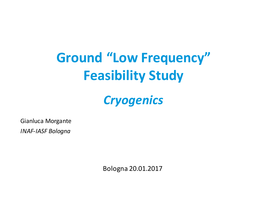# **Ground "Low Frequency" Feasibility Study**

# *Cryogenics*

Gianluca Morgante

*INAF-IASF Bologna*

Bologna 20.01.2017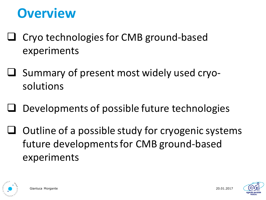# **Overview**

- $\Box$  Cryo technologies for CMB ground-based experiments
- $\Box$  Summary of present most widely used cryosolutions
- Developments of possible future technologies
- $\Box$  Outline of a possible study for cryogenic systems future developments for CMB ground-based experiments



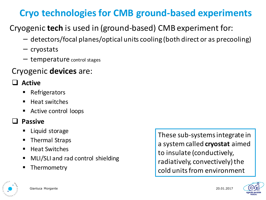### **Cryo technologies for CMB ground-based experiments**

Cryogenic **tech** is used in (ground-based) CMB experiment for:

- − detectors/focal planes/optical units cooling (both direct or as precooling)
- − cryostats
- − temperature control stages

#### Cryogenic **devices** are:

#### q **Active**

- § Refrigerators
- $\blacksquare$  Heat switches
- Active control loops

#### **Passive**

- § Liquid storage
- § Thermal Straps
- Heat Switches
- MLI/SLI and rad control shielding
- **Thermometry**

These sub-systems integrate in a system called **cryostat** aimed to insulate (conductively, radiatively, convectively) the cold units from environment





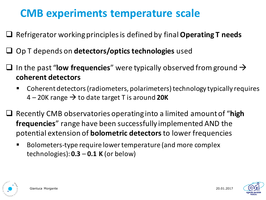### **CMB** experiments temperature scale

- □ Refrigerator working principles is defined by final **Operating T needs**
- □ Op T depends on **detectors/optics technologies** used
- $\Box$  In the past "**low frequencies**" were typically observed from ground  $\rightarrow$ **coherent detectors**
	- Coherent detectors (radiometers, polarimeters) technology typically requires  $4 - 20$ K range  $\rightarrow$  to date target T is around **20K**
- □ Recently CMB observatories operating into a limited amount of "high **frequencies**" range have been successfully implemented AND the potential extension of **bolometric detectors** to lower frequencies
	- Bolometers-type require lower temperature (and more complex  $technologies):  $0.3 - 0.1 \text{ K (or below)}$$



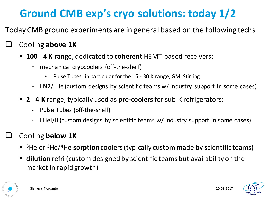## **Ground CMB exp's cryo solutions: today 1/2**

Today CMB ground experiments are in general based on the following techs

#### **Cooling above 1K**

- **100 4 K** range, dedicated to **coherent** HEMT-based receivers:
	- mechanical cryocoolers (off-the-shelf)
		- Pulse Tubes, in particular for the 15 30 K range, GM, Stirling
	- LN2/LHe (custom designs by scientific teams w/ industry support in some cases)
- 2 4 K range, typically used as **pre-coolers** for sub-K refrigerators:
	- Pulse Tubes (off-the-shelf)
	- LHeI/II (custom designs by scientific teams w/ industry support in some cases)

#### **Cooling below 1K**

- <sup>3</sup>He or <sup>3</sup>He/<sup>4</sup>He **sorption** coolers (typically custom made by scientific teams)
- dilution refri (custom designed by scientific teams but availability on the market in rapid growth)



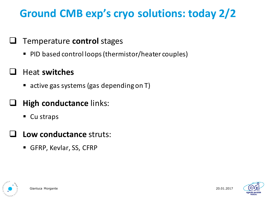### **Ground CMB exp's cryo solutions: today 2/2**

#### **Q** Temperature **control** stages

PID based control loops (thermistor/heater couples)

#### q Heat **switches**

■ active gas systems (gas depending on T)

#### **High conductance links:**

- $\blacksquare$  Cu straps
- **Low conductance struts:** 
	- GFRP, Kevlar, SS, CFRP





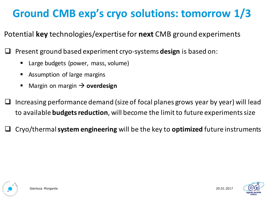### **Ground CMB exp's cryo solutions: tomorrow 1/3**

Potential **key** technologies/expertise for **next** CMB ground experiments

Present ground based experiment cryo-systems **design** is based on:

- Large budgets (power, mass, volume)
- Assumption of large margins
- Margin on margin  $\rightarrow$  **overdesign**
- Increasing performance demand (size of focal planes grows year by year) will lead to available **budgets reduction**, will become the limit to future experiments size

Cryo/thermal **system engineering** will be the key to **optimized** future instruments



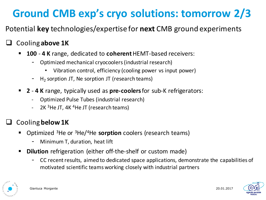## **Ground CMB exp's cryo solutions: tomorrow 2/3**

Potential **key** technologies/expertise for **next** CMB ground experiments

#### **Cooling above 1K**

- **100 4 K** range, dedicated to **coherent** HEMT-based receivers:
	- Optimized mechanical cryocoolers (industrial research)
		- Vibration control, efficiency (cooling power vs input power)
	- $H_2$  sorption JT, Ne sorption JT (research teams)
- 2 4 K range, typically used as pre-coolers for sub-K refrigerators:
	- Optimized Pulse Tubes (industrial research)
	- 2K  $3$ He JT, 4K  $4$ He JT (research teams)

#### **Cooling below 1K**

- **Optimized** <sup>3</sup>He or <sup>3</sup>He/<sup>4</sup>He **sorption** coolers (research teams)
	- Minimum T, duration, heat lift
- **Dilution** refrigeration (either off-the-shelf or custom made)
	- CC recent results, aimed to dedicated space applications, demonstrate the capabilities of motivated scientific teams working closely with industrial partners



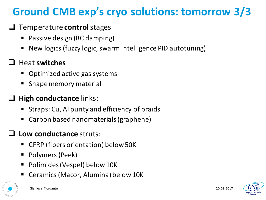### **Ground CMB exp's cryo solutions: tomorrow 3/3**

#### **Q** Temperature **control** stages

- Passive design (RC damping)
- New logics (fuzzy logic, swarm intelligence PID autotuning)

#### **J** Heat switches

- § Optimized active gas systems
- Shape memory material

#### **High conductance links:**

- Straps: Cu, Al purity and efficiency of braids
- Carbon based nanomaterials (graphene)

#### Low conductance struts:

- § CFRP (fibers orientation) below 50K
- § Polymers (Peek)
- Polimides (Vespel) below 10K
- Ceramics (Macor, Alumina) below 10K